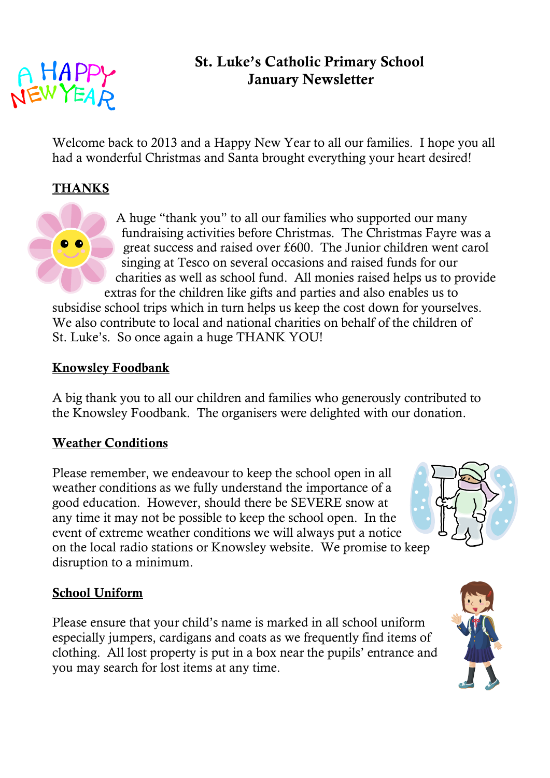

# **St. Luke's Catholic Primary School January Newsletter**

Welcome back to 2013 and a Happy New Year to all our families. I hope you all had a wonderful Christmas and Santa brought everything your heart desired!

#### **THANKS**

A huge "thank you" to all our families who supported our many fundraising activities before Christmas. The Christmas Fayre was a great success and raised over £600. The Junior children went carol singing at Tesco on several occasions and raised funds for our charities as well as school fund. All monies raised helps us to provide extras for the children like gifts and parties and also enables us to

subsidise school trips which in turn helps us keep the cost down for yourselves. We also contribute to local and national charities on behalf of the children of St. Luke's. So once again a huge THANK YOU!

#### **Knowsley Foodbank**

A big thank you to all our children and families who generously contributed to the Knowsley Foodbank. The organisers were delighted with our donation.

#### **Weather Conditions**

Please remember, we endeavour to keep the school open in all weather conditions as we fully understand the importance of a good education. However, should there be SEVERE snow at any time it may not be possible to keep the school open. In the event of extreme weather conditions we will always put a notice on the local radio stations or Knowsley website. We promise to keep disruption to a minimum.

#### **School Uniform**

Please ensure that your child's name is marked in all school uniform especially jumpers, cardigans and coats as we frequently find items of clothing. All lost property is put in a box near the pupils' entrance and you may search for lost items at any time.



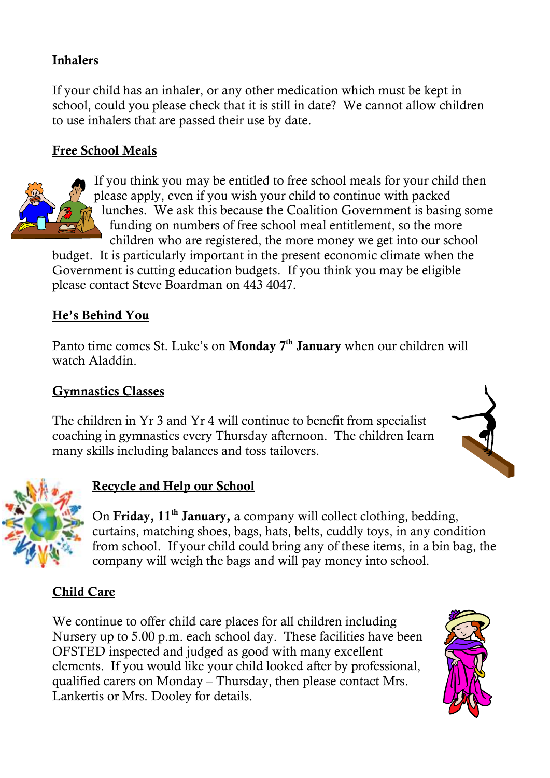## **Inhalers**

If your child has an inhaler, or any other medication which must be kept in school, could you please check that it is still in date? We cannot allow children to use inhalers that are passed their use by date.

## **Free School Meals**



If you think you may be entitled to free school meals for your child then please apply, even if you wish your child to continue with packed lunches. We ask this because the Coalition Government is basing some funding on numbers of free school meal entitlement, so the more children who are registered, the more money we get into our school

budget. It is particularly important in the present economic climate when the Government is cutting education budgets. If you think you may be eligible please contact Steve Boardman on 443 4047.

#### **He's Behind You**

Panto time comes St. Luke's on **Monday 7th January** when our children will watch Aladdin.

#### **Gymnastics Classes**

The children in Yr 3 and Yr 4 will continue to benefit from specialist coaching in gymnastics every Thursday afternoon. The children learn many skills including balances and toss tailovers.





## **Recycle and Help our School**

On **Friday, 11th January,** a company will collect clothing, bedding, curtains, matching shoes, bags, hats, belts, cuddly toys, in any condition from school. If your child could bring any of these items, in a bin bag, the company will weigh the bags and will pay money into school.

## **Child Care**

We continue to offer child care places for all children including Nursery up to 5.00 p.m. each school day. These facilities have been OFSTED inspected and judged as good with many excellent elements. If you would like your child looked after by professional, qualified carers on Monday – Thursday, then please contact Mrs. Lankertis or Mrs. Dooley for details.